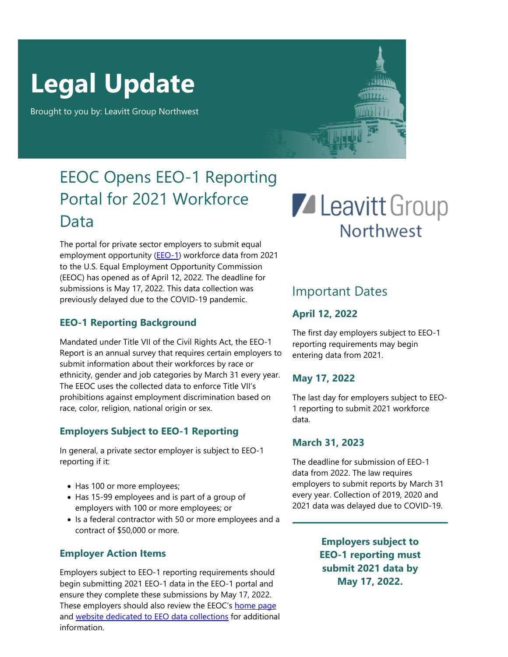# **Legal Update**

Brought to you by: Leavitt Group Northwest

### EEOC Opens EEO-1 Reporting Portal for 2021 Workforce Data

The portal for private sector employers to submit equal employment opportunity ([EEO-1\)](https://eeocdata.org/eeo1) workforce data from 2021 to the U.S. Equal Employment Opportunity Commission (EEOC) has opened as of April 12, 2022. The deadline for submissions is May 17, 2022. This data collection was previously delayed due to the COVID-19 pandemic.

### **EEO-1 Reporting Background**

Mandated under Title VII of the Civil Rights Act, the EEO-1 Report is an annual survey that requires certain employers to submit information about their workforces by race or ethnicity, gender and job categories by March 31 every year. The EEOC uses the collected data to enforce Title VII's prohibitions against employment discrimination based on race, color, religion, national origin or sex.

### **Employers Subject to EEO-1 Reporting**

In general, a private sector employer is subject to EEO-1 reporting if it:

- Has 100 or more employees;
- Has 15-99 employees and is part of a group of employers with 100 or more employees; or
- Is a federal contractor with 50 or more employees and a contract of \$50,000 or more.

### **Employer Action Items**

Employers subject to EEO-1 reporting requirements should begin submitting 2021 EEO-1 data in the EEO-1 portal and ensure they complete these submissions by May 17, 2022. These employers should also review the EEOC's [home page](https://www.eeoc.gov/) and [website dedicated to EEO data collections](https://eeocdata.org/) for additional information.

## **Z** Leavitt Group **Northwest**

### Important Dates

### **April 12, 2022**

The first day employers subject to EEO-1 reporting requirements may begin entering data from 2021.

### **May 17, 2022**

The last day for employers subject to EEO-1 reporting to submit 2021 workforce data.

### **March 31, 2023**

The deadline for submission of EEO-1 data from 2022. The law requires employers to submit reports by March 31 every year. Collection of 2019, 2020 and 2021 data was delayed due to COVID-19.

> **Employers subject to EEO-1 reporting must submit 2021 data by May 17, 2022.**